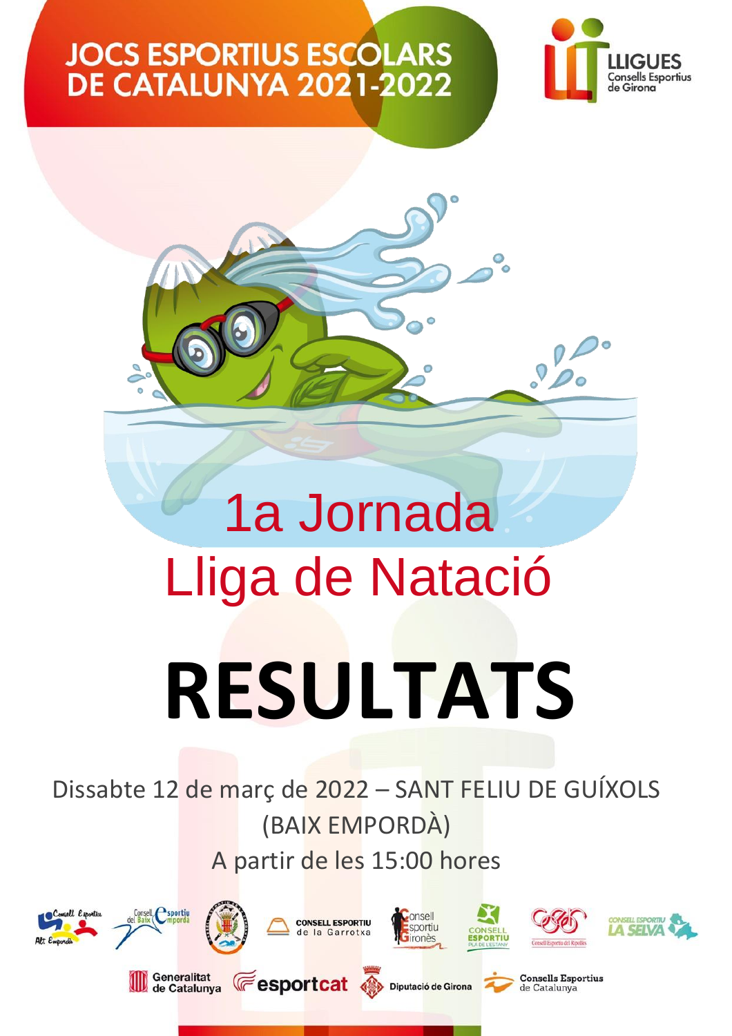

 $\overline{\Omega}$ 



Dissabte 12 de març de 2022 – SANT FELIU DE GUÍXOLS (BAIX EMPORDÀ) A partir de les 15:00 hores

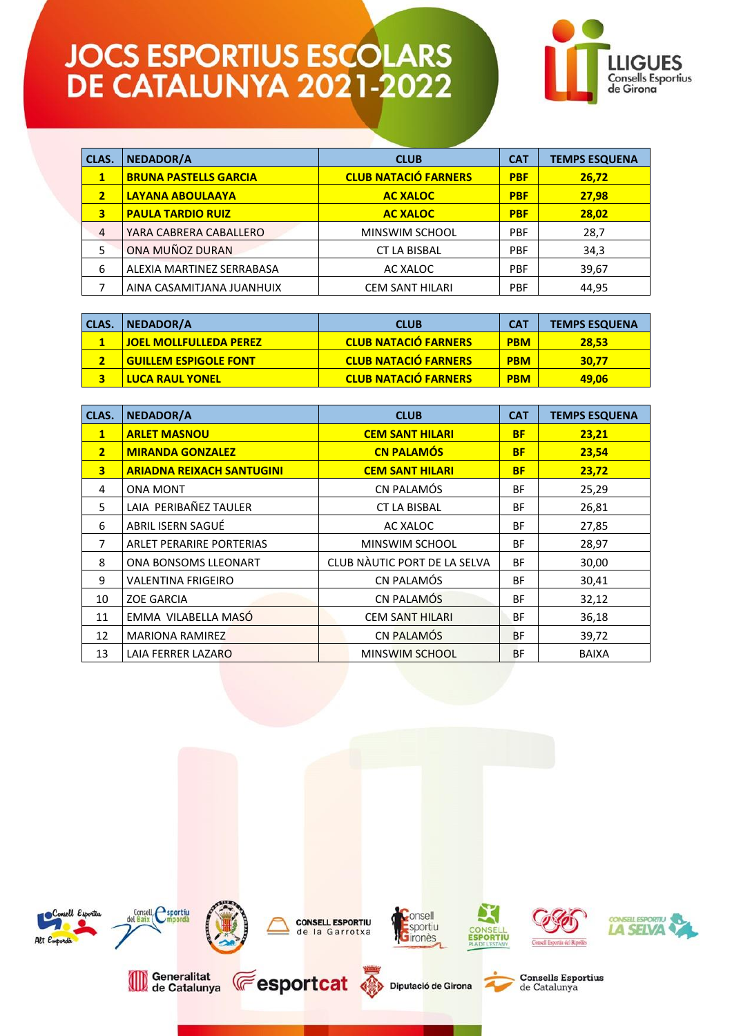

| CLAS.                   | <b>NEDADOR/A</b>             | <b>CLUB</b>                 | <b>CAT</b> | <b>TEMPS ESQUENA</b> |
|-------------------------|------------------------------|-----------------------------|------------|----------------------|
| $\mathbf{1}$            | <b>BRUNA PASTELLS GARCIA</b> | <b>CLUB NATACIÓ FARNERS</b> | <b>PBF</b> | 26,72                |
| $\overline{\mathbf{2}}$ | LAYANA ABOULAAYA             | <b>AC XALOC</b>             | <b>PBF</b> | 27,98                |
| 3                       | <b>PAULA TARDIO RUIZ</b>     | <b>AC XALOC</b>             | <b>PBF</b> | 28,02                |
| $\overline{4}$          | YARA CABRERA CABALLERO       | MINSWIM SCHOOL              | <b>PBF</b> | 28,7                 |
| 5                       | ONA MUÑOZ DURAN              | <b>CT LA BISBAL</b>         | <b>PBF</b> | 34,3                 |
| 6                       | ALEXIA MARTINEZ SERRABASA    | AC XALOC                    | <b>PBF</b> | 39,67                |
|                         | AINA CASAMITJANA JUANHUIX    | <b>CEM SANT HILARI</b>      | <b>PBF</b> | 44,95                |

| <b>CLAS.</b> | <b>NEDADOR/A</b>              | <b>CLUB</b>                 | <b>CAT</b> | <b>TEMPS ESQUENA</b> |
|--------------|-------------------------------|-----------------------------|------------|----------------------|
|              | <b>JOEL MOLLFULLEDA PEREZ</b> | <b>CLUB NATACIÓ FARNERS</b> | <b>PBM</b> | <b>28.53</b>         |
|              | <b>GUILLEM ESPIGOLE FONT</b>  | <b>CLUB NATACIÓ FARNERS</b> | <b>PBM</b> | 30.77                |
|              | <b>LUCA RAUL YONEL</b>        | <b>CLUB NATACIÓ FARNERS</b> | <b>PBM</b> | 49,06                |

| CLAS.          | NEDADOR/A                        | <b>CLUB</b>                  | <b>CAT</b> | <b>TEMPS ESQUENA</b> |
|----------------|----------------------------------|------------------------------|------------|----------------------|
| $\mathbf{1}$   | <b>ARLET MASNOU</b>              | <b>CEM SANT HILARI</b>       | <b>BF</b>  | 23,21                |
| 2 <sup>1</sup> | <b>MIRANDA GONZALEZ</b>          | <b>CN PALAMÓS</b>            | <b>BF</b>  | 23,54                |
| 3              | <b>ARIADNA REIXACH SANTUGINI</b> | <b>CEM SANT HILARI</b>       | <b>BF</b>  | 23,72                |
| 4              | <b>ONA MONT</b>                  | CN PALAMÓS                   | <b>BF</b>  | 25,29                |
| 5              | LAIA PERIBAÑEZ TAULER            | <b>CT LA BISBAL</b>          | <b>BF</b>  | 26,81                |
| 6              | ABRIL ISERN SAGUÉ                | AC XALOC                     | <b>BF</b>  | 27,85                |
| 7              | <b>ARLET PERARIRE PORTERIAS</b>  | MINSWIM SCHOOL               | <b>BF</b>  | 28,97                |
| 8              | ONA BONSOMS LLEONART             | CLUB NAUTIC PORT DE LA SELVA | <b>BF</b>  | 30,00                |
| 9              | VALENTINA FRIGEIRO               | CN PALAMÓS                   | <b>BF</b>  | 30,41                |
| 10             | <b>ZOE GARCIA</b>                | CN PALAMÓS                   | <b>BF</b>  | 32,12                |
| 11             | EMMA VILABELLA MASÓ              | <b>CEM SANT HILARI</b>       | <b>BF</b>  | 36,18                |
| 12             | <b>MARIONA RAMIREZ</b>           | CN PALAMÓS                   | <b>BF</b>  | 39,72                |
| 13             | LAIA FERRER LAZARO               | <b>MINSWIM SCHOOL</b>        | <b>BF</b>  | <b>BAIXA</b>         |

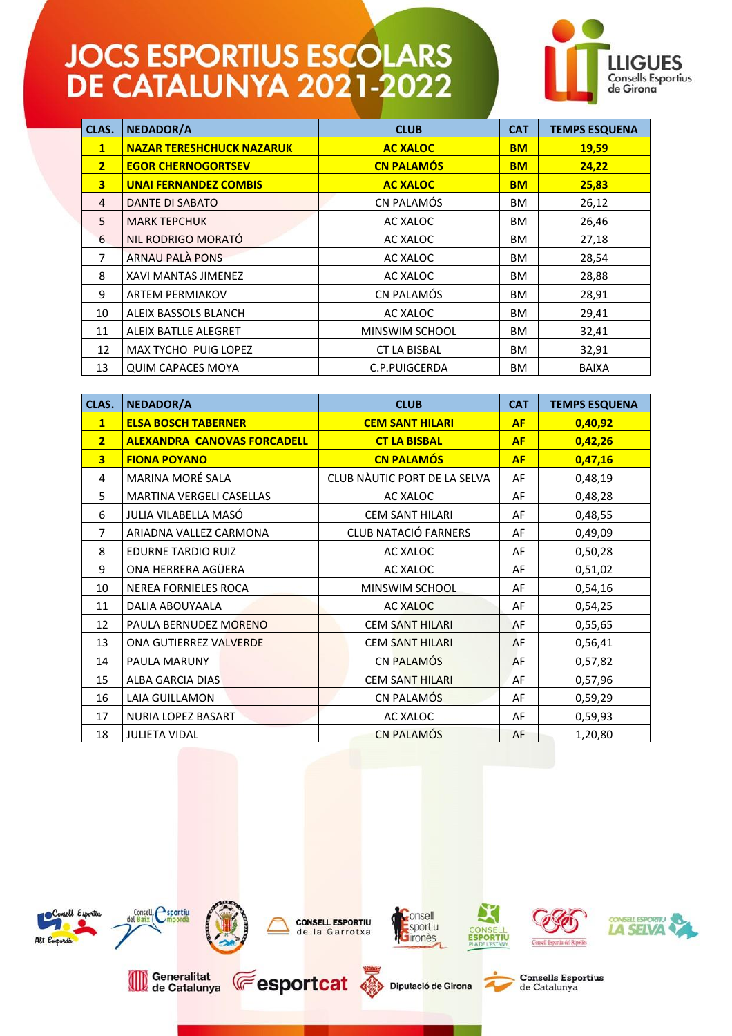

| CLAS.          | <b>NEDADOR/A</b>                 | <b>CLUB</b>           | <b>CAT</b> | <b>TEMPS ESQUENA</b> |
|----------------|----------------------------------|-----------------------|------------|----------------------|
| $\mathbf{1}$   | <b>NAZAR TERESHCHUCK NAZARUK</b> | <b>AC XALOC</b>       | <b>BM</b>  | 19,59                |
| $\overline{2}$ | <b>EGOR CHERNOGORTSEV</b>        | <b>CN PALAMÓS</b>     | <b>BM</b>  | 24,22                |
| 3              | <b>UNAI FERNANDEZ COMBIS</b>     | <b>AC XALOC</b>       | <b>BM</b>  | 25,83                |
| 4              | <b>DANTE DI SABATO</b>           | CN PALAMÓS            | <b>BM</b>  | 26,12                |
| 5              | <b>MARK TEPCHUK</b>              | AC XALOC              | <b>BM</b>  | 26,46                |
| 6              | NIL RODRIGO MORATÓ               | AC XALOC              | <b>BM</b>  | 27,18                |
| 7              | <b>ARNAU PALÀ PONS</b>           | AC XALOC              | <b>BM</b>  | 28,54                |
| 8              | <b>XAVI MANTAS JIMENEZ</b>       | AC XALOC              | <b>BM</b>  | 28,88                |
| 9              | <b>ARTEM PERMIAKOV</b>           | CN PALAMÓS            | <b>BM</b>  | 28,91                |
| 10             | ALEIX BASSOLS BLANCH             | AC XALOC              | <b>BM</b>  | 29,41                |
| 11             | <b>ALEIX BATLLE ALEGRET</b>      | <b>MINSWIM SCHOOL</b> | <b>BM</b>  | 32,41                |
| 12             | <b>MAX TYCHO PUIG LOPEZ</b>      | <b>CT LA BISBAL</b>   | <b>BM</b>  | 32,91                |
| 13             | <b>QUIM CAPACES MOYA</b>         | C.P.PUIGCERDA         | <b>BM</b>  | <b>BAIXA</b>         |

| CLAS.                   | <b>NEDADOR/A</b>                   | <b>CLUB</b>                  | <b>CAT</b> | <b>TEMPS ESQUENA</b> |
|-------------------------|------------------------------------|------------------------------|------------|----------------------|
| $\mathbf{1}$            | <b>ELSA BOSCH TABERNER</b>         | <b>CEM SANT HILARI</b>       | <b>AF</b>  | 0,40,92              |
| $\overline{2}$          | <b>ALEXANDRA CANOVAS FORCADELL</b> | <b>CT LA BISBAL</b>          | <b>AF</b>  | 0,42,26              |
| $\overline{\mathbf{3}}$ | <b>FIONA POYANO</b>                | <b>CN PALAMÓS</b>            | <b>AF</b>  | 0,47,16              |
| 4                       | MARINA MORÉ SALA                   | CLUB NÀUTIC PORT DE LA SELVA | AF         | 0,48,19              |
| 5                       | MARTINA VERGELI CASELLAS           | AC XALOC                     | AF         | 0,48,28              |
| 6                       | JULIA VILABELLA MASÓ               | <b>CEM SANT HILARI</b>       | AF         | 0,48,55              |
| 7                       | ARIADNA VALLEZ CARMONA             | <b>CLUB NATACIÓ FARNERS</b>  | AF         | 0,49,09              |
| 8                       | <b>EDURNE TARDIO RUIZ</b>          | AC XALOC                     | AF         | 0,50,28              |
| 9                       | ONA HERRERA AGÜERA                 | AC XALOC                     | AF         | 0,51,02              |
| 10                      | <b>NEREA FORNIELES ROCA</b>        | MINSWIM SCHOOL               | AF         | 0,54,16              |
| 11                      | DALIA ABOUYAALA                    | <b>AC XALOC</b>              | AF         | 0,54,25              |
| 12                      | PAULA BERNUDEZ MORENO              | <b>CEM SANT HILARI</b>       | AF         | 0,55,65              |
| 13                      | ONA GUTIERREZ VALVERDE             | <b>CEM SANT HILARI</b>       | AF         | 0,56,41              |
| 14                      | PAULA MARUNY                       | CN PALAMÓS                   | AF         | 0,57,82              |
| 15                      | <b>ALBA GARCIA DIAS</b>            | <b>CEM SANT HILARI</b>       | AF         | 0,57,96              |
| 16                      | LAIA GUILLAMON                     | CN PALAMÓS                   | AF         | 0,59,29              |
| 17                      | NURIA LOPEZ BASART                 | AC XALOC                     | AF         | 0,59,93              |
| 18                      | <b>JULIETA VIDAL</b>               | <b>CN PALAMÓS</b>            | AF         | 1,20,80              |

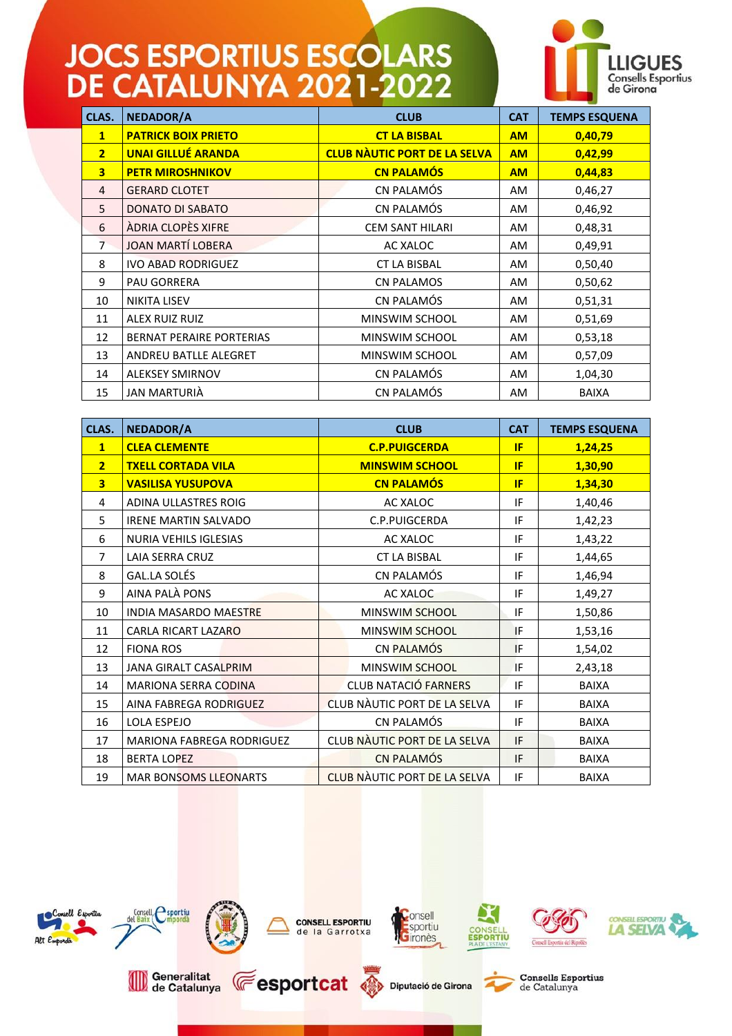

| CLAS.                   | <b>NEDADOR/A</b>                | <b>CLUB</b>                         | <b>CAT</b> | <b>TEMPS ESQUENA</b> |
|-------------------------|---------------------------------|-------------------------------------|------------|----------------------|
| $\mathbf{1}$            | <b>PATRICK BOIX PRIETO</b>      | <b>CT LA BISBAL</b>                 | <b>AM</b>  | 0,40,79              |
| 2 <sup>1</sup>          | <b>UNAI GILLUÉ ARANDA</b>       | <b>CLUB NAUTIC PORT DE LA SELVA</b> | <b>AM</b>  | 0,42,99              |
| $\overline{\mathbf{3}}$ | <b>PETR MIROSHNIKOV</b>         | <b>CN PALAMÓS</b>                   | <b>AM</b>  | 0,44,83              |
| 4                       | <b>GERARD CLOTET</b>            | CN PALAMÓS                          | AM         | 0,46,27              |
| 5                       | DONATO DI SABATO                | CN PALAMÓS                          | AM.        | 0,46,92              |
| 6                       | ÀDRIA CLOPÈS XIFRE              | <b>CEM SANT HILARI</b>              | AM.        | 0,48,31              |
| $\overline{7}$          | <b>JOAN MARTÍ LOBERA</b>        | AC XALOC                            | AM         | 0,49,91              |
| 8                       | <b>IVO ABAD RODRIGUEZ</b>       | <b>CT LA BISBAL</b>                 | AM.        | 0,50,40              |
| 9                       | <b>PAU GORRERA</b>              | <b>CN PALAMOS</b>                   | AM.        | 0,50,62              |
| 10                      | <b>NIKITA LISEV</b>             | CN PALAMÓS                          | AM         | 0,51,31              |
| 11                      | ALEX RUIZ RUIZ                  | MINSWIM SCHOOL                      | AM.        | 0,51,69              |
| 12                      | <b>BERNAT PERAIRE PORTERIAS</b> | MINSWIM SCHOOL                      | AM.        | 0,53,18              |
| 13                      | ANDREU BATLLE ALEGRET           | MINSWIM SCHOOL                      | AM.        | 0,57,09              |
| 14                      | <b>ALEKSEY SMIRNOV</b>          | CN PALAMÓS                          | AM         | 1,04,30              |
| 15                      | JAN MARTURIÀ                    | CN PALAMÓS                          | <b>AM</b>  | <b>BAIXA</b>         |

| CLAS.                   | NEDADOR/A                    | <b>CLUB</b>                  | <b>CAT</b> | <b>TEMPS ESQUENA</b> |
|-------------------------|------------------------------|------------------------------|------------|----------------------|
| $\mathbf{1}$            | <b>CLEA CLEMENTE</b>         | <b>C.P.PUIGCERDA</b>         | <b>IF</b>  | 1,24,25              |
| $\overline{2}$          | <b>TXELL CORTADA VILA</b>    | <b>MINSWIM SCHOOL</b>        | IF         | 1,30,90              |
| $\overline{\mathbf{3}}$ | <b>VASILISA YUSUPOVA</b>     | <b>CN PALAMÓS</b>            | IF         | 1,34,30              |
| 4                       | <b>ADINA ULLASTRES ROIG</b>  | AC XALOC                     | IF         | 1,40,46              |
| 5                       | <b>IRENE MARTIN SALVADO</b>  | C.P.PUIGCERDA                | IF         | 1,42,23              |
| 6                       | NURIA VEHILS IGLESIAS        | AC XALOC                     | IF         | 1,43,22              |
| $\overline{7}$          | LAIA SERRA CRUZ              | <b>CT LA BISBAL</b>          | IF         | 1,44,65              |
| 8                       | GAL.LA SOLÉS                 | CN PALAMÓS                   | IF         | 1,46,94              |
| 9                       | AINA PALÀ PONS               | <b>AC XALOC</b>              | IF         | 1,49,27              |
| 10                      | <b>INDIA MASARDO MAESTRE</b> | MINSWIM SCHOOL               | IF         | 1,50,86              |
| 11                      | CARLA RICART LAZARO          | MINSWIM SCHOOL               | IF         | 1,53,16              |
| 12                      | <b>FIONA ROS</b>             | CN PALAMÓS                   | IF         | 1,54,02              |
| 13                      | JANA GIRALT CASALPRIM        | MINSWIM SCHOOL               | IF         | 2,43,18              |
| 14                      | <b>MARIONA SERRA CODINA</b>  | <b>CLUB NATACIÓ FARNERS</b>  | IF         | <b>BAIXA</b>         |
| 15                      | AINA FABREGA RODRIGUEZ       | CLUB NÀUTIC PORT DE LA SELVA | IF         | BAIXA                |
| 16                      | LOLA ESPEJO                  | CN PALAMÓS                   | IF         | <b>BAIXA</b>         |
| 17                      | MARIONA FABREGA RODRIGUEZ    | CLUB NÀUTIC PORT DE LA SELVA | IF         | <b>BAIXA</b>         |
| 18                      | <b>BERTA LOPEZ</b>           | <b>CN PALAMÓS</b>            | IF         | <b>BAIXA</b>         |
| 19                      | <b>MAR BONSOMS LLEONARTS</b> | CLUB NAUTIC PORT DE LA SELVA | IF         | <b>BAIXA</b>         |

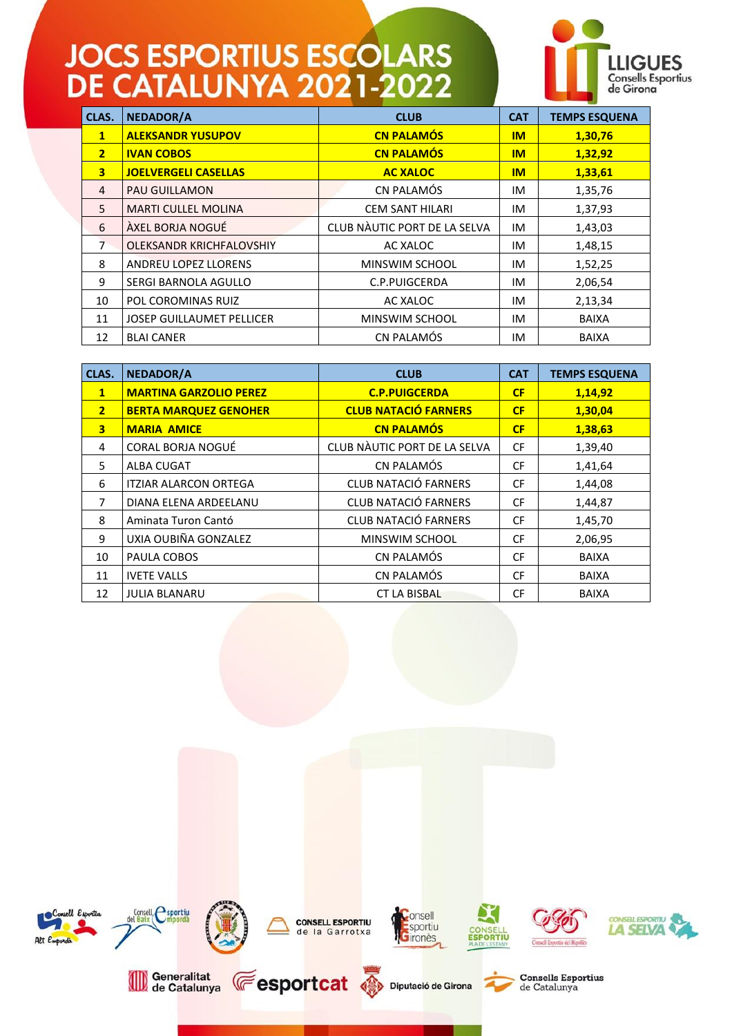

| CLAS.                   | NEDADOR/A                        | <b>CLUB</b>                  | <b>CAT</b> | <b>TEMPS ESQUENA</b> |
|-------------------------|----------------------------------|------------------------------|------------|----------------------|
| $\mathbf{1}$            | <b>ALEKSANDR YUSUPOV</b>         | <b>CN PALAMÓS</b>            | <b>IM</b>  | 1,30,76              |
| 2 <sup>1</sup>          | <b>IVAN COBOS</b>                | <b>CN PALAMÓS</b>            | <b>IM</b>  | 1,32,92              |
| $\overline{\mathbf{3}}$ | <b>JOELVERGELI CASELLAS</b>      | <b>AC XALOC</b>              | <b>IM</b>  | 1,33,61              |
| 4                       | <b>PAU GUILLAMON</b>             | CN PALAMÓS                   | ΙM         | 1,35,76              |
| 5                       | <b>MARTI CULLEL MOLINA</b>       | <b>CEM SANT HILARI</b>       | ΙM         | 1,37,93              |
| 6                       | ÀXEL BORJA NOGUÉ                 | CLUB NÀUTIC PORT DE LA SELVA | IM         | 1,43,03              |
| $\overline{7}$          | OLEKSANDR KRICHFALOVSHIY         | AC XALOC                     | IM         | 1,48,15              |
| 8                       | <b>ANDREU LOPEZ LLORENS</b>      | <b>MINSWIM SCHOOL</b>        | ΙM         | 1,52,25              |
| 9                       | SERGI BARNOLA AGULLO             | C.P.PUIGCERDA                | ΙM         | 2,06,54              |
| 10                      | POL COROMINAS RUIZ               | AC XALOC                     | IM         | 2,13,34              |
| 11                      | <b>JOSEP GUILLAUMET PELLICER</b> | <b>MINSWIM SCHOOL</b>        | ΙM         | <b>BAIXA</b>         |
| 12                      | <b>BLAI CANER</b>                | CN PALAMÓS                   | ΙM         | <b>BAIXA</b>         |

| CLAS.                   | <b>NEDADOR/A</b>              | <b>CLUB</b>                  | <b>CAT</b> | <b>TEMPS ESQUENA</b> |
|-------------------------|-------------------------------|------------------------------|------------|----------------------|
| $\mathbf{1}$            | <b>MARTINA GARZOLIO PEREZ</b> | <b>C.P.PUIGCERDA</b>         | CF         | 1,14,92              |
| $\overline{2}$          | <b>BERTA MARQUEZ GENOHER</b>  | <b>CLUB NATACIÓ FARNERS</b>  | CF         | 1,30,04              |
| $\overline{\mathbf{3}}$ | <b>MARIA AMICE</b>            | <b>CN PALAMÓS</b>            | CF         | 1,38,63              |
| 4                       | CORAL BORJA NOGUÉ             | CLUB NÀUTIC PORT DE LA SELVA | <b>CF</b>  | 1,39,40              |
| 5                       | <b>ALBA CUGAT</b>             | CN PALAMÓS                   | <b>CF</b>  | 1,41,64              |
| 6                       | <b>ITZIAR ALARCON ORTEGA</b>  | <b>CLUB NATACIÓ FARNERS</b>  | <b>CF</b>  | 1,44,08              |
| 7                       | DIANA ELENA ARDEELANU         | <b>CLUB NATACIÓ FARNERS</b>  | <b>CF</b>  | 1,44,87              |
| 8                       | Aminata Turon Cantó           | <b>CLUB NATACIÓ FARNERS</b>  | <b>CF</b>  | 1,45,70              |
| 9                       | UXIA OUBIÑA GONZALEZ          | MINSWIM SCHOOL               | <b>CF</b>  | 2,06,95              |
| 10                      | PAULA COBOS                   | CN PALAMÓS                   | <b>CF</b>  | <b>BAIXA</b>         |
| 11                      | <b>IVETE VALLS</b>            | CN PALAMÓS                   | <b>CF</b>  | <b>BAIXA</b>         |
| 12                      | <b>JULIA BLANARU</b>          | <b>CT LA BISBAL</b>          | <b>CF</b>  | <b>BAIXA</b>         |

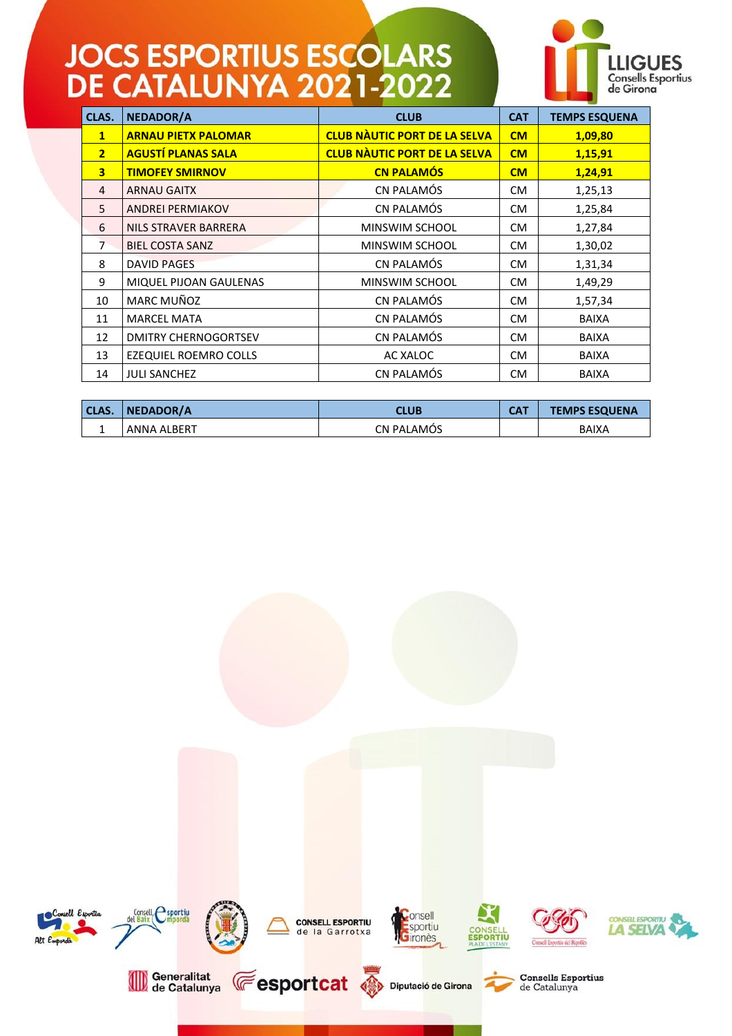

| CLAS.                   | NEDADOR/A                   | <b>CLUB</b>                         | <b>CAT</b> | <b>TEMPS ESQUENA</b> |
|-------------------------|-----------------------------|-------------------------------------|------------|----------------------|
| $\mathbf{1}$            | <b>ARNAU PIETX PALOMAR</b>  | <b>CLUB NÀUTIC PORT DE LA SELVA</b> | CM         | 1,09,80              |
| 2 <sup>1</sup>          | <b>AGUSTÍ PLANAS SALA</b>   | <b>CLUB NÀUTIC PORT DE LA SELVA</b> | CM         | 1,15,91              |
| $\overline{\mathbf{3}}$ | <b>TIMOFEY SMIRNOV</b>      | <b>CN PALAMÓS</b>                   | CM         | 1,24,91              |
| 4                       | <b>ARNAU GAITX</b>          | CN PALAMÓS                          | CM.        | 1,25,13              |
| 5                       | <b>ANDREI PERMIAKOV</b>     | CN PALAMÓS                          | <b>CM</b>  | 1,25,84              |
| 6                       | NILS STRAVER BARRERA        | MINSWIM SCHOOL                      | <b>CM</b>  | 1,27,84              |
| $\overline{7}$          | <b>BIEL COSTA SANZ</b>      | <b>MINSWIM SCHOOL</b>               | <b>CM</b>  | 1,30,02              |
| 8                       | <b>DAVID PAGES</b>          | CN PALAMÓS                          | <b>CM</b>  | 1,31,34              |
| 9                       | MIQUEL PIJOAN GAULENAS      | <b>MINSWIM SCHOOL</b>               | <b>CM</b>  | 1,49,29              |
| 10                      | MARC MUÑOZ                  | CN PALAMÓS                          | <b>CM</b>  | 1,57,34              |
| 11                      | <b>MARCEL MATA</b>          | CN PALAMÓS                          | <b>CM</b>  | <b>BAIXA</b>         |
| 12                      | <b>DMITRY CHERNOGORTSEV</b> | CN PALAMÓS                          | CM.        | <b>BAIXA</b>         |
| 13                      | EZEQUIEL ROEMRO COLLS       | AC XALOC                            | <b>CM</b>  | <b>BAIXA</b>         |
| 14                      | <b>JULI SANCHEZ</b>         | CN PALAMÓS                          | <b>CM</b>  | <b>BAIXA</b>         |

| <b>CLAS.</b> | NEDADOR/A          | CLUB              | <b>CAT</b> | <b>TEMPS ESQUENA</b> |
|--------------|--------------------|-------------------|------------|----------------------|
|              | <b>ANNA ALBERT</b> | <b>CN PALAMOS</b> |            | <b>BAIXA</b>         |

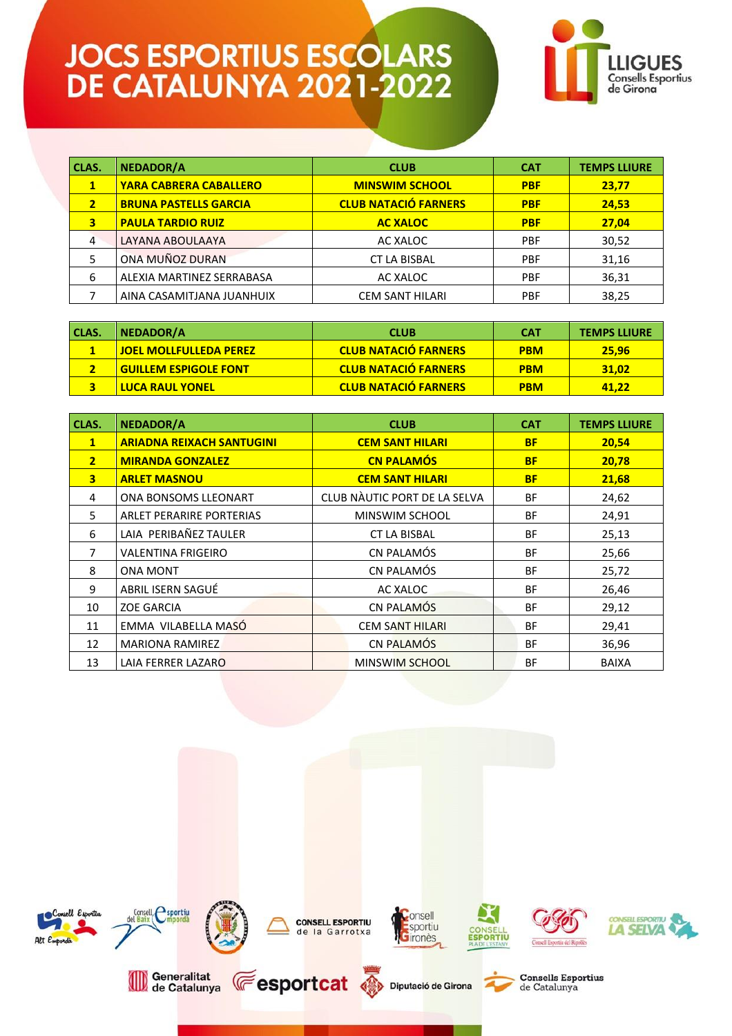

| CLAS.          | NEDADOR/A                     | <b>CLUB</b>                 | <b>CAT</b> | <b>TEMPS LLIURE</b> |
|----------------|-------------------------------|-----------------------------|------------|---------------------|
| 1              | <b>YARA CABRERA CABALLERO</b> | <b>MINSWIM SCHOOL</b>       | <b>PBF</b> | 23,77               |
| $\overline{2}$ | <b>BRUNA PASTELLS GARCIA</b>  | <b>CLUB NATACIÓ FARNERS</b> | <b>PBF</b> | 24,53               |
| 3              | <b>PAULA TARDIO RUIZ</b>      | <b>AC XALOC</b>             | <b>PBF</b> | 27,04               |
| 4              | LAYANA ABOULAAYA              | AC XALOC                    | <b>PBF</b> | 30,52               |
|                | ONA MUÑOZ DURAN               | <b>CT LA BISBAL</b>         | <b>PBF</b> | 31,16               |
| 6              | ALEXIA MARTINEZ SERRABASA     | AC XALOC                    | <b>PBF</b> | 36,31               |
|                | AINA CASAMITJANA JUANHUIX     | CEM SANT HILARI             | <b>PBF</b> | 38,25               |

| CLAS. | NEDADOR/A                        | <b>CLUB</b>                 | <b>CAT</b> | <b>TEMPS LLIURE</b> |
|-------|----------------------------------|-----------------------------|------------|---------------------|
|       | <u>l JOEL MOLLFULLEDA PEREZI</u> | <b>CLUB NATACIÓ FARNERS</b> | <b>PBM</b> | 25.96               |
|       | <u>l Guillem Espigole font</u>   | <b>CLUB NATACIÓ FARNERS</b> | <b>PBM</b> | 31.02               |
|       | <u>l LUCA RAUL YONEL</u>         | <b>CLUB NATACIÓ FARNERS</b> | <b>PBM</b> | 41.22               |

| CLAS.                   | <b>NEDADOR/A</b>                 | <b>CLUB</b>                         | <b>CAT</b> | <b>TEMPS LLIURE</b> |
|-------------------------|----------------------------------|-------------------------------------|------------|---------------------|
| $\mathbf{1}$            | <b>ARIADNA REIXACH SANTUGINI</b> | <b>CEM SANT HILARI</b><br><b>BF</b> |            | 20,54               |
| $\overline{2}$          | <b>MIRANDA GONZALEZ</b>          | <b>CN PALAMÓS</b>                   | <b>BF</b>  | 20,78               |
| $\overline{\mathbf{3}}$ | <b>ARLET MASNOU</b>              | <b>CEM SANT HILARI</b>              | <b>BF</b>  | 21,68               |
| 4                       | ONA BONSOMS LLEONART             | CLUB NÀUTIC PORT DE LA SELVA        | <b>BF</b>  | 24,62               |
| 5                       | ARLET PERARIRE PORTERIAS         | MINSWIM SCHOOL                      | <b>BF</b>  | 24,91               |
| 6                       | LAIA PERIBAÑEZ TAULER            | <b>CT LA BISBAL</b>                 | <b>BF</b>  | 25,13               |
| 7                       | <b>VALENTINA FRIGEIRO</b>        | CN PALAMÓS                          | <b>BF</b>  | 25,66               |
| 8                       | <b>ONA MONT</b>                  | CN PALAMÓS                          | <b>BF</b>  | 25,72               |
| 9                       | ABRIL ISERN SAGUÉ                | AC XALOC                            | BF         | 26,46               |
| 10                      | <b>ZOE GARCIA</b>                | CN PALAMÓS                          | <b>BF</b>  | 29,12               |
| 11                      | EMMA VILABELLA MASÓ              | <b>CEM SANT HILARI</b>              | <b>BF</b>  | 29,41               |
| 12                      | <b>MARIONA RAMIREZ</b>           | CN PALAMÓS                          | ΒF         | 36,96               |
| 13                      | LAIA FERRER LAZARO               | <b>MINSWIM SCHOOL</b>               | <b>BF</b>  | <b>BAIXA</b>        |

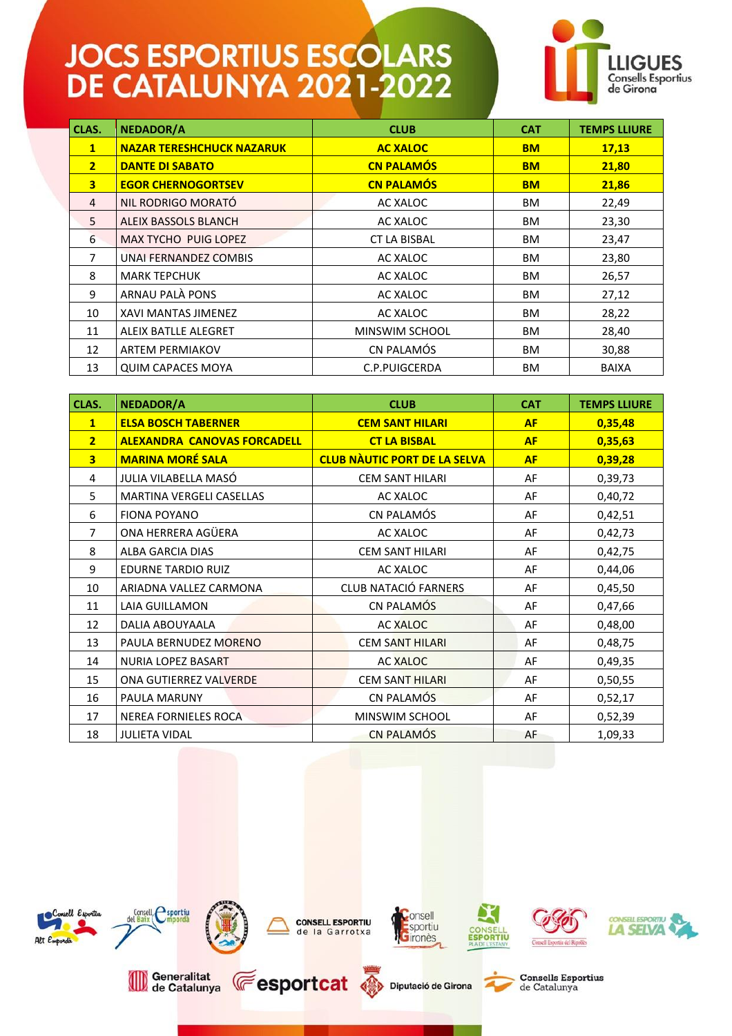

| CLAS.                   | <b>NEDADOR/A</b>                 | <b>CLUB</b>           | <b>CAT</b> | <b>TEMPS LLIURE</b> |
|-------------------------|----------------------------------|-----------------------|------------|---------------------|
| $\mathbf{1}$            | <b>NAZAR TERESHCHUCK NAZARUK</b> | <b>AC XALOC</b>       | <b>BM</b>  | 17,13               |
| $\overline{2}$          | <b>DANTE DI SABATO</b>           | <b>CN PALAMÓS</b>     | <b>BM</b>  | 21,80               |
| $\overline{\mathbf{3}}$ | <b>EGOR CHERNOGORTSEV</b>        | <b>CN PALAMÓS</b>     | <b>BM</b>  | 21,86               |
| 4                       | NIL RODRIGO MORATÓ               | AC XALOC              | ВM         | 22,49               |
| 5                       | ALEIX BASSOLS BLANCH             | AC XALOC              | BM.        | 23,30               |
| 6                       | <b>MAX TYCHO PUIG LOPEZ</b>      | <b>CT LA BISBAL</b>   | ВM         | 23,47               |
| 7                       | UNAI FERNANDEZ COMBIS            | AC XALOC              |            | 23,80               |
| 8                       | <b>MARK TEPCHUK</b><br>AC XALOC  |                       | ВM         | 26,57               |
| 9                       | ARNAU PALÀ PONS                  | AC XALOC              | <b>BM</b>  | 27,12               |
| 10                      | XAVI MANTAS JIMENEZ              | AC XALOC              | <b>BM</b>  | 28,22               |
| 11                      | <b>ALEIX BATLLE ALEGRET</b>      | <b>MINSWIM SCHOOL</b> | ВM         | 28,40               |
| 12                      | <b>ARTEM PERMIAKOV</b>           | CN PALAMÓS            | <b>BM</b>  | 30,88               |
| 13                      | <b>QUIM CAPACES MOYA</b>         | C.P.PUIGCERDA         | ВM         | <b>BAIXA</b>        |

| CLAS.                   | <b>NEDADOR/A</b>                   | <b>CLUB</b>                         | <b>CAT</b> | <b>TEMPS LLIURE</b> |
|-------------------------|------------------------------------|-------------------------------------|------------|---------------------|
| $\mathbf{1}$            | <b>ELSA BOSCH TABERNER</b>         | <b>CEM SANT HILARI</b>              | <b>AF</b>  | 0,35,48             |
| $\overline{2}$          | <b>ALEXANDRA CANOVAS FORCADELL</b> | <b>CT LA BISBAL</b>                 | <b>AF</b>  | 0,35,63             |
| $\overline{\mathbf{3}}$ | <b>MARINA MORÉ SALA</b>            | <b>CLUB NÀUTIC PORT DE LA SELVA</b> | <b>AF</b>  | 0,39,28             |
| 4                       | JULIA VILABELLA MASÓ               | <b>CEM SANT HILARI</b>              | AF         | 0,39,73             |
| 5                       | MARTINA VERGELI CASELLAS           | AC XALOC                            | AF         | 0,40,72             |
| 6                       | <b>FIONA POYANO</b>                | CN PALAMÓS                          | AF         | 0,42,51             |
| 7                       | ONA HERRERA AGÜERA                 | AC XALOC                            | AF         | 0,42,73             |
| 8                       | <b>ALBA GARCIA DIAS</b>            | <b>CEM SANT HILARI</b>              | AF         | 0,42,75             |
| 9                       | <b>EDURNE TARDIO RUIZ</b>          | AC XALOC                            | AF         | 0,44,06             |
| 10                      | ARIADNA VALLEZ CARMONA             | <b>CLUB NATACIÓ FARNERS</b>         | AF         | 0,45,50             |
| 11                      | LAIA GUILLAMON                     | CN PALAMÓS                          | AF         | 0,47,66             |
| 12                      | DALIA ABOUYAALA                    | <b>AC XALOC</b>                     | AF         | 0,48,00             |
| 13                      | PAULA BERNUDEZ MORENO              | <b>CEM SANT HILARI</b>              | AF         | 0,48,75             |
| 14                      | <b>NURIA LOPEZ BASART</b>          | <b>AC XALOC</b>                     | AF         | 0,49,35             |
| 15                      | ONA GUTIERREZ VALVERDE             | <b>CEM SANT HILARI</b>              | AF         | 0,50,55             |
| 16                      | <b>PAULA MARUNY</b>                | CN PALAMÓS                          | AF         | 0,52,17             |
| 17                      | <b>NEREA FORNIELES ROCA</b>        | MINSWIM SCHOOL                      | AF         | 0,52,39             |
| 18                      | <b>JULIETA VIDAL</b>               | <b>CN PALAMÓS</b>                   | AF         | 1,09,33             |

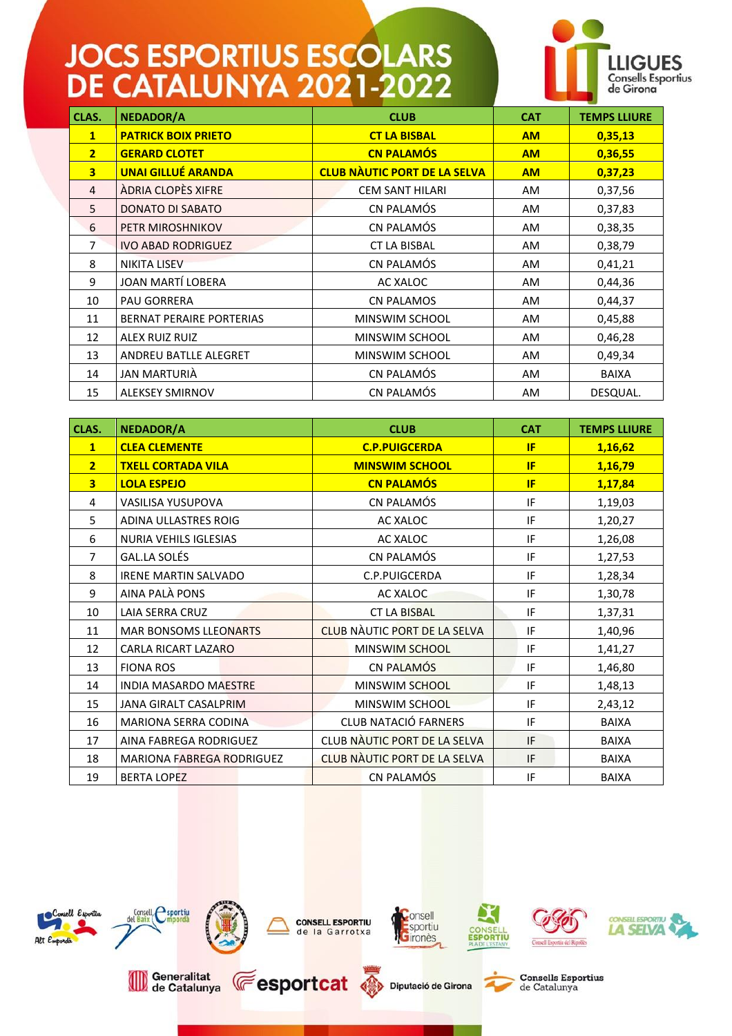

| CLAS.                   | <b>NEDADOR/A</b>                | <b>CLUB</b>                         | <b>CAT</b> | <b>TEMPS LLIURE</b> |
|-------------------------|---------------------------------|-------------------------------------|------------|---------------------|
| $\mathbf{1}$            | <b>PATRICK BOIX PRIETO</b>      | <b>CT LA BISBAL</b>                 | <b>AM</b>  | 0,35,13             |
| $\overline{2}$          | <b>GERARD CLOTET</b>            | <b>CN PALAMÓS</b>                   | <b>AM</b>  | 0,36,55             |
| $\overline{\mathbf{3}}$ | <b>UNAI GILLUÉ ARANDA</b>       | <b>CLUB NAUTIC PORT DE LA SELVA</b> | <b>AM</b>  | 0,37,23             |
| $\overline{4}$          | ÀDRIA CLOPÈS XIFRE              | <b>CEM SANT HILARI</b>              | AM         | 0,37,56             |
| 5                       | <b>DONATO DI SABATO</b>         | CN PALAMÓS                          | AM.        | 0,37,83             |
| 6                       | PETR MIROSHNIKOV                | CN PALAMÓS                          | AM.        | 0,38,35             |
| $\overline{7}$          | <b>IVO ABAD RODRIGUEZ</b>       | <b>CT LA BISBAL</b>                 | AM.        | 0,38,79             |
| 8                       | <b>NIKITA LISEV</b>             | CN PALAMÓS                          | AM         | 0,41,21             |
| 9                       | JOAN MARTÍ LOBERA               | AC XALOC                            | AM.        | 0,44,36             |
| 10                      | <b>PAU GORRERA</b>              | <b>CN PALAMOS</b>                   | AM.        | 0,44,37             |
| 11                      | <b>BERNAT PERAIRE PORTERIAS</b> | MINSWIM SCHOOL                      | AM.        | 0,45,88             |
| 12                      | <b>ALEX RUIZ RUIZ</b>           | MINSWIM SCHOOL                      | AM.        | 0,46,28             |
| 13                      | ANDREU BATLLE ALEGRET           | MINSWIM SCHOOL                      | AM.        | 0,49,34             |
| 14                      | JAN MARTURIÀ                    | CN PALAMÓS                          | AM         | <b>BAIXA</b>        |
| 15                      | <b>ALEKSEY SMIRNOV</b>          | CN PALAMÓS                          | <b>AM</b>  | DESQUAL.            |

| CLAS.                   | <b>NEDADOR/A</b>                 | <b>CLUB</b>                         | <b>CAT</b> | <b>TEMPS LLIURE</b> |
|-------------------------|----------------------------------|-------------------------------------|------------|---------------------|
| $\mathbf{1}$            | <b>CLEA CLEMENTE</b>             | <b>C.P.PUIGCERDA</b>                | IF         | 1,16,62             |
| 2 <sup>1</sup>          | <b>TXELL CORTADA VILA</b>        | <b>MINSWIM SCHOOL</b>               | IF         | 1,16,79             |
| $\overline{\mathbf{3}}$ | <b>LOLA ESPEJO</b>               | <b>CN PALAMÓS</b>                   | IF         | 1,17,84             |
| 4                       | VASILISA YUSUPOVA                | CN PALAMÓS                          | IF         | 1,19,03             |
| 5                       | ADINA ULLASTRES ROIG             | AC XALOC                            | IF         | 1,20,27             |
| 6                       | <b>NURIA VEHILS IGLESIAS</b>     | AC XALOC                            | IF         | 1,26,08             |
| $\overline{7}$          | <b>GAL.LA SOLÉS</b>              | CN PALAMÓS                          | IF         | 1,27,53             |
| 8                       | <b>IRENE MARTIN SALVADO</b>      | C.P.PUIGCERDA                       | IF         | 1,28,34             |
| 9                       | AINA PALÀ PONS                   | <b>AC XALOC</b>                     | IF         | 1,30,78             |
| 10                      | LAIA SERRA CRUZ                  | <b>CT LA BISBAL</b>                 | IF         | 1,37,31             |
| 11                      | <b>MAR BONSOMS LLEONARTS</b>     | <b>CLUB NÀUTIC PORT DE LA SELVA</b> | IF         | 1,40,96             |
| 12                      | CARLA RICART LAZARO              | MINSWIM SCHOOL                      | IF         | 1,41,27             |
| 13                      | <b>FIONA ROS</b>                 | CN PALAMÓS                          | IF         | 1,46,80             |
| 14                      | <b>INDIA MASARDO MAESTRE</b>     | <b>MINSWIM SCHOOL</b>               | IF         | 1,48,13             |
| 15                      | <b>JANA GIRALT CASALPRIM</b>     | MINSWIM SCHOOL                      | IF         | 2,43,12             |
| 16                      | MARIONA SERRA CODINA             | <b>CLUB NATACIÓ FARNERS</b>         | IF         | <b>BAIXA</b>        |
| 17                      | AINA FABREGA RODRIGUEZ           | CLUB NAUTIC PORT DE LA SELVA        | IF         | <b>BAIXA</b>        |
| 18                      | <b>MARIONA FABREGA RODRIGUEZ</b> | <b>CLUB NÀUTIC PORT DE LA SELVA</b> | IF         | <b>BAIXA</b>        |
| 19                      | <b>BERTA LOPEZ</b>               | CN PALAMÓS                          | IF         | <b>BAIXA</b>        |

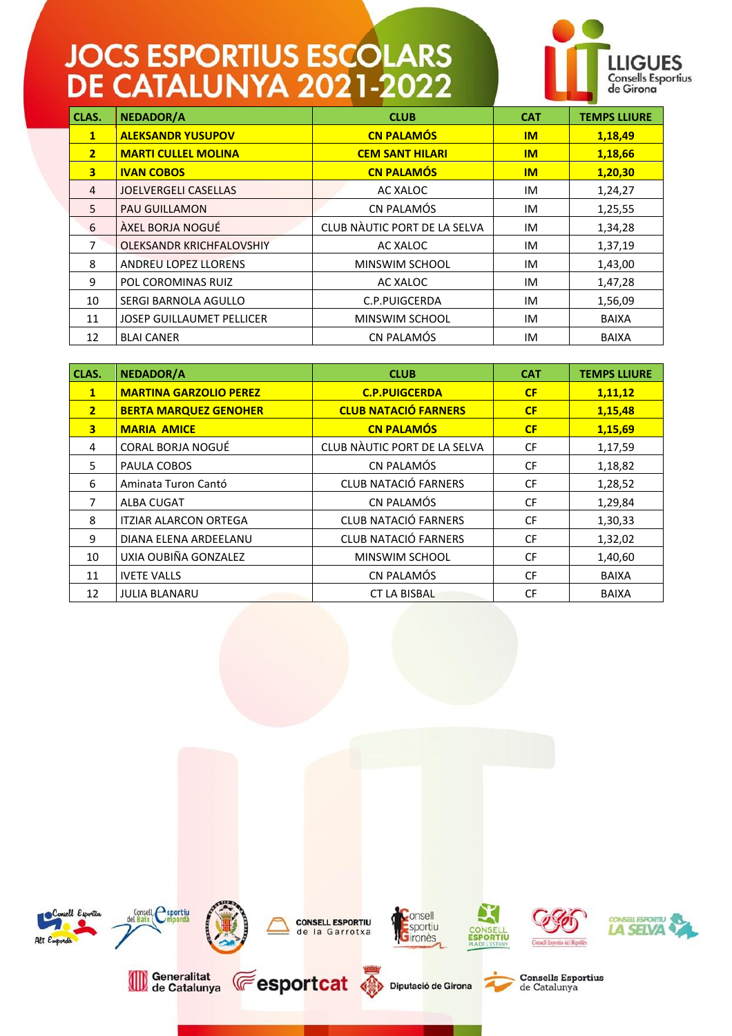

| CLAS.          | <b>NEDADOR/A</b>                 | <b>CLUB</b>                  | <b>CAT</b> | <b>TEMPS LLIURE</b> |
|----------------|----------------------------------|------------------------------|------------|---------------------|
| $\mathbf{1}$   | <b>ALEKSANDR YUSUPOV</b>         | <b>CN PALAMÓS</b>            | IM         | 1,18,49             |
| 2 <sup>1</sup> | <b>MARTI CULLEL MOLINA</b>       | <b>CEM SANT HILARI</b>       | IM         | 1,18,66             |
| 3              | <b>IVAN COBOS</b>                | <b>CN PALAMÓS</b>            | IM         | 1,20,30             |
| 4              | <b>JOELVERGELI CASELLAS</b>      | AC XALOC                     | IM         | 1,24,27             |
| 5              | <b>PAU GUILLAMON</b>             | CN PALAMÓS                   | IM         | 1,25,55             |
| 6              | ÀXEL BORJA NOGUÉ                 | CLUB NÀUTIC PORT DE LA SELVA | IM         | 1,34,28             |
| 7              | OLEKSANDR KRICHFALOVSHIY         | AC XALOC                     | IM         | 1,37,19             |
| 8              | <b>ANDREU LOPEZ LLORENS</b>      | MINSWIM SCHOOL               | IM         | 1,43,00             |
| 9              | POL COROMINAS RUIZ               | AC XALOC                     | IM         | 1,47,28             |
| 10             | SERGI BARNOLA AGULLO             | C.P.PUIGCERDA                | IM         | 1,56,09             |
| 11             | <b>JOSEP GUILLAUMET PELLICER</b> | MINSWIM SCHOOL               | IM         | <b>BAIXA</b>        |
| 12             | <b>BLAI CANER</b>                | CN PALAMÓS                   | IM         | <b>BAIXA</b>        |

| CLAS.                   | <b>NEDADOR/A</b>              | <b>CLUB</b>                  | <b>CAT</b> | <b>TEMPS LLIURE</b> |
|-------------------------|-------------------------------|------------------------------|------------|---------------------|
| $\mathbf{1}$            | <b>MARTINA GARZOLIO PEREZ</b> | <b>C.P.PUIGCERDA</b>         | CF         | 1,11,12             |
| $\overline{2}$          | <b>BERTA MARQUEZ GENOHER</b>  | <b>CLUB NATACIÓ FARNERS</b>  | CF         | 1,15,48             |
| $\overline{\mathbf{3}}$ | <b>MARIA AMICE</b>            | <b>CN PALAMÓS</b>            | CF         | 1,15,69             |
| 4                       | CORAL BORJA NOGUÉ             | CLUB NÀUTIC PORT DE LA SELVA | <b>CF</b>  | 1,17,59             |
| 5.                      | PAULA COBOS                   | CN PALAMÓS                   | <b>CF</b>  | 1,18,82             |
| 6                       | Aminata Turon Cantó           | <b>CLUB NATACIÓ FARNERS</b>  | <b>CF</b>  | 1,28,52             |
| 7                       | ALBA CUGAT                    | CN PALAMÓS                   | <b>CF</b>  | 1,29,84             |
| 8                       | <b>ITZIAR ALARCON ORTEGA</b>  | <b>CLUB NATACIÓ FARNERS</b>  | <b>CF</b>  | 1,30,33             |
| 9                       | DIANA ELENA ARDEELANU         | <b>CLUB NATACIÓ FARNERS</b>  | <b>CF</b>  | 1,32,02             |
| 10                      | UXIA OUBIÑA GONZALEZ          | MINSWIM SCHOOL               | <b>CF</b>  | 1,40,60             |
| 11                      | <b>IVETE VALLS</b>            | CN PALAMÓS                   | <b>CF</b>  | <b>BAIXA</b>        |
| 12                      | <b>JULIA BLANARU</b>          | <b>CT LA BISBAL</b>          | <b>CF</b>  | <b>BAIXA</b>        |

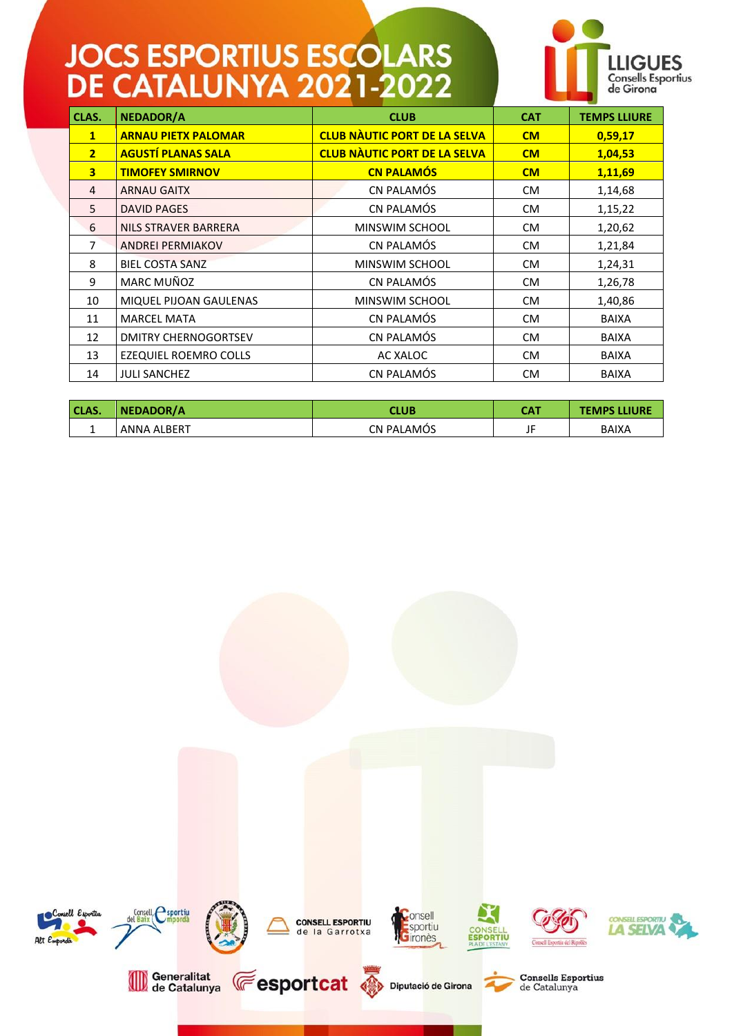

| CLAS.          | <b>NEDADOR/A</b>            | <b>CLUB</b>                         | <b>CAT</b> | <b>TEMPS LLIURE</b> |
|----------------|-----------------------------|-------------------------------------|------------|---------------------|
| $\mathbf{1}$   | <b>ARNAU PIETX PALOMAR</b>  | <b>CLUB NÀUTIC PORT DE LA SELVA</b> | CM         | 0,59,17             |
| $\overline{2}$ | <b>AGUSTÍ PLANAS SALA</b>   | <b>CLUB NÀUTIC PORT DE LA SELVA</b> | CM         | 1,04,53             |
| $\overline{3}$ | <b>TIMOFEY SMIRNOV</b>      | <b>CN PALAMÓS</b>                   | CM         | 1,11,69             |
| 4              | <b>ARNAU GAITX</b>          | CN PALAMÓS                          | <b>CM</b>  | 1,14,68             |
| 5              | <b>DAVID PAGES</b>          | CN PALAMÓS                          | <b>CM</b>  | 1,15,22             |
| 6              | NILS STRAVER BARRERA        | MINSWIM SCHOOL                      | <b>CM</b>  | 1,20,62             |
| 7              | <b>ANDREI PERMIAKOV</b>     | CN PALAMÓS                          | <b>CM</b>  | 1,21,84             |
| 8              | <b>BIEL COSTA SANZ</b>      | MINSWIM SCHOOL                      | <b>CM</b>  | 1,24,31             |
| 9              | MARC MUÑOZ                  | CN PALAMÓS                          | <b>CM</b>  | 1,26,78             |
| 10             | MIQUEL PIJOAN GAULENAS      | MINSWIM SCHOOL                      | <b>CM</b>  | 1,40,86             |
| 11             | <b>MARCEL MATA</b>          | CN PALAMÓS                          | CM.        | <b>BAIXA</b>        |
| 12             | <b>DMITRY CHERNOGORTSEV</b> | CN PALAMÓS                          | <b>CM</b>  | <b>BAIXA</b>        |
| 13             | EZEQUIEL ROEMRO COLLS       | AC XALOC                            | <b>CM</b>  | <b>BAIXA</b>        |
| 14             | <b>JULI SANCHEZ</b>         | CN PALAMÓS                          | <b>CM</b>  | <b>BAIXA</b>        |

| CLAS. | NEDADOR/A   | CLUB              | САТ | <b>TEMPS LLIURE</b> |
|-------|-------------|-------------------|-----|---------------------|
|       | ANNA ALBERT | <b>CN PALAMOS</b> |     | BAIXA               |

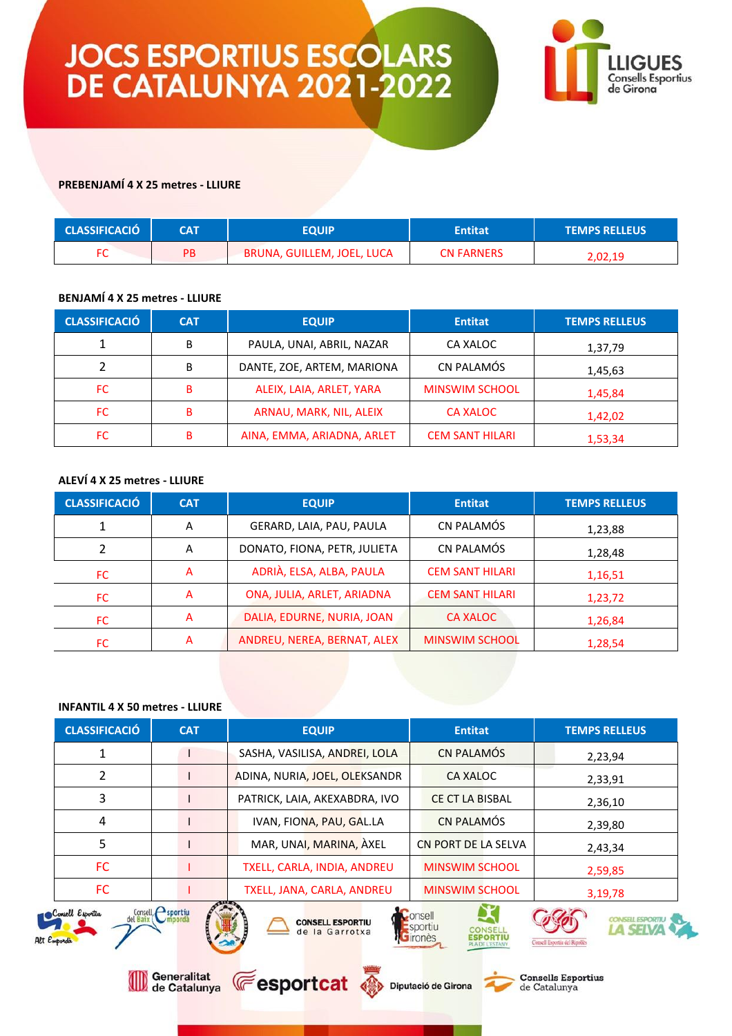

#### **PREBENJAMÍ 4 X 25 metres - LLIURE**

| <b>CLASSIFICACIÓ</b> | CAT | EQUIP                      | <b>Entitat</b>    | <b>TEMPS RELLEUS</b> |
|----------------------|-----|----------------------------|-------------------|----------------------|
|                      | PB  | BRUNA, GUILLEM, JOEL, LUCA | <b>CN FARNERS</b> | 2,02,19              |

#### **BENJAMÍ 4 X 25 metres - LLIURE**

| <b>CLASSIFICACIÓ</b> | <b>CAT</b> | <b>EQUIP</b>               | <b>Entitat</b>         | <b>TEMPS RELLEUS</b> |
|----------------------|------------|----------------------------|------------------------|----------------------|
|                      | В          | PAULA, UNAI, ABRIL, NAZAR  | CA XALOC               | 1,37,79              |
|                      | В          | DANTE, ZOE, ARTEM, MARIONA | CN PALAMÓS             | 1,45,63              |
| FC                   | B          | ALEIX, LAIA, ARLET, YARA   | <b>MINSWIM SCHOOL</b>  | 1,45,84              |
| FC.                  | в          | ARNAU, MARK, NIL, ALEIX    | <b>CA XALOC</b>        | 1,42,02              |
| FC.                  | в          | AINA, EMMA, ARIADNA, ARLET | <b>CEM SANT HILARI</b> | 1,53,34              |

#### **ALEVÍ 4 X 25 metres - LLIURE**

| <b>CLASSIFICACIÓ</b> | <b>CAT</b> | <b>EQUIP</b>                 | <b>Entitat</b>         | <b>TEMPS RELLEUS</b> |
|----------------------|------------|------------------------------|------------------------|----------------------|
|                      | А          | GERARD, LAIA, PAU, PAULA     | CN PALAMÓS             | 1,23,88              |
|                      | A          | DONATO, FIONA, PETR, JULIETA | CN PALAMÓS             | 1,28,48              |
| FC                   | А          | ADRIÀ, ELSA, ALBA, PAULA     | <b>CEM SANT HILARI</b> | 1,16,51              |
| FC.                  | А          | ONA, JULIA, ARLET, ARIADNA   | <b>CEM SANT HILARI</b> | 1,23,72              |
| FC                   | А          | DALIA, EDURNE, NURIA, JOAN   | CA XALOC               | 1,26,84              |
| FC                   | А          | ANDREU, NEREA, BERNAT, ALEX  | <b>MINSWIM SCHOOL</b>  | 1,28,54              |

#### **INFANTIL 4 X 50 metres - LLIURE**

|                                                                                                                      | <b>CLASSIFICACIÓ</b>            | <b>CAT</b>               | <b>EQUIP</b>                              | <b>Entitat</b>                                                                    | <b>TEMPS RELLEUS</b>          |  |  |
|----------------------------------------------------------------------------------------------------------------------|---------------------------------|--------------------------|-------------------------------------------|-----------------------------------------------------------------------------------|-------------------------------|--|--|
|                                                                                                                      |                                 |                          | SASHA, VASILISA, ANDREI, LOLA             | <b>CN PALAMÓS</b>                                                                 | 2,23,94                       |  |  |
|                                                                                                                      | 2                               |                          | ADINA, NURIA, JOEL, OLEKSANDR             | CA XALOC                                                                          | 2,33,91                       |  |  |
|                                                                                                                      | 3                               |                          | PATRICK, LAIA, AKEXABDRA, IVO             | <b>CE CT LA BISBAL</b>                                                            | 2,36,10                       |  |  |
|                                                                                                                      | 4                               |                          | IVAN, FIONA, PAU, GAL.LA                  | <b>CN PALAMÓS</b>                                                                 | 2,39,80                       |  |  |
|                                                                                                                      | 5                               |                          | MAR, UNAI, MARINA, AXEL                   | <b>CN PORT DE LA SELVA</b>                                                        | 2,43,34                       |  |  |
|                                                                                                                      | <b>FC</b>                       |                          | TXELL, CARLA, INDIA, ANDREU               | <b>MINSWIM SCHOOL</b>                                                             | 2,59,85                       |  |  |
|                                                                                                                      | FC.                             |                          | TXELL, JANA, CARLA, ANDREU                | <b>MINSWIM SCHOOL</b>                                                             | 3,19,78                       |  |  |
|                                                                                                                      | Consell Esportiu<br>Alt Empordà | Consell <i>C</i> sportiu | <b>CONSELL ESPORTIU</b><br>de la Garrotxa | consell<br>sportiu<br>CONSELI<br>irones<br><b>SPORTIL</b><br><b>A DE L'ESTANY</b> | Consell Esportiu del Ripollès |  |  |
| Generalitat<br><b>Consells Esportius</b><br><b>Fesportcat</b><br>Diputació de Girona<br>de Catalunya<br>de Catalunya |                                 |                          |                                           |                                                                                   |                               |  |  |